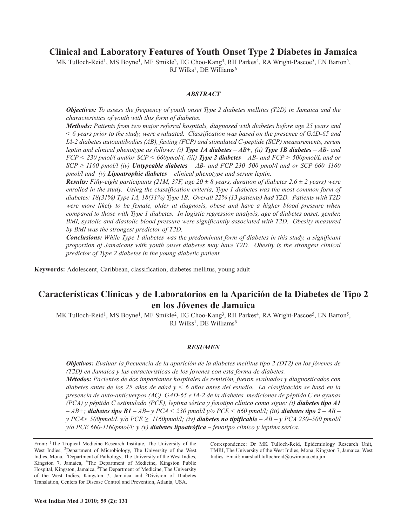## **Clinical and Laboratory Features of Youth Onset Type 2 Diabetes in Jamaica**

MK Tulloch-Reid<sup>1</sup>, MS Boyne<sup>1</sup>, MF Smikle<sup>2</sup>, EG Choo-Kang<sup>3</sup>, RH Parkes<sup>4</sup>, RA Wright-Pascoe<sup>5</sup>, EN Barton<sup>5</sup>, RJ Wilks<sup>1</sup>, DE Williams<sup>6</sup>

## *ABSTRACT*

*Objectives: To assess the frequency of youth onset Type 2 diabetes mellitus (T2D) in Jamaica and the characteristics of youth with this form of diabetes.*

*Methods: Patients from two major referral hospitals, diagnosed with diabetes before age 25 years and*  $\leq$  6 years prior to the study, were evaluated. Classification was based on the presence of GAD-65 and *IA-2 diabetes autoantibodies (AB), fasting (FCP) and stimulated C-peptide (SCP) measurements, serum* leptin and clinical phenotype as follows: (i) Type 1A diabetes  $-AB+$ , (ii) Type 1B diabetes  $-AB-$  and  $FCP \le 230$  pmol/l and/or SCP  $\le 660$ pmol/l, (iii) Type 2 diabetes  $-AB$ - and  $FCP \ge 500$ pmol/L and or  $SCP \geq 1160$  *pmol/l (iv) Untypeable diabetes* – *AB*- *and FCP* 230–500 *pmol/l and or SCP* 660–1160 *pmol/l and (v) Lipoatrophic diabetes – clinical phenotype and serum leptin.*

**Results:** Fifty-eight participants (21M, 37F, age 20  $\pm$  8 years, duration of diabetes 2.6  $\pm$  2 years) were *enrolled in the study. Using the classification criteria, Type 1 diabetes was the most common form of diabetes: 18(31%) Type 1A, 18(31%) Type 1B. Overall 22% (13 patients) had T2D. Patients with T2D were more likely to be female, older at diagnosis, obese and have a higher blood pressure when compared to those with Type 1 diabetes. In logistic regression analysis, age of diabetes onset, gender, BMI, systolic and diastolic blood pressure were significantly associated with T2D. Obesity measured by BMI was the strongest predictor of T2D.*

*Conclusions: While Type 1 diabetes was the predominant form of diabetes in this study, a significant proportion of Jamaicans with youth onset diabetes may have T2D. Obesity is the strongest clinical predictor of Type 2 diabetes in the young diabetic patient.*

**Keywords:** Adolescent, Caribbean, classification, diabetes mellitus, young adult

# **Características Clínicas y de Laboratorios en la Aparición de la Diabetes de Tipo 2 en los Jóvenes de Jamaica**

MK Tulloch-Reid<sup>1</sup>, MS Boyne<sup>1</sup>, MF Smikle<sup>2</sup>, EG Choo-Kang<sup>3</sup>, RH Parkes<sup>4</sup>, RA Wright-Pascoe<sup>5</sup>, EN Barton<sup>5</sup>, RJ Wilks<sup>1</sup>, DE Williams<sup>6</sup>

## *RESUMEN*

Objetivos: Evaluar la frecuencia de la aparición de la diabetes mellitus tipo 2 (DT2) en los jóvenes de *(T2D) en Jamaica y las características de los jóvenes con esta forma de diabetes. Métodos: Pacientes de dos importantes hospitales de remisión, fueron evaluados y diagnosticados con* diabetes antes de los 25 años de edad  $y < 6$  años antes del estudio. La clasificación se basó en la *presencia de auto-anticuerpos (AC) GAD-65 e IA-2 de la diabetes, mediciones de péptido C en ayunas (PCA) y péptido C estimulado (PCE), leptina sérica y fenotipo clínico como sigue: (i) diabetes tipo A1*  $-AB$ +; diabetes tipo B1 - AB- y PCA < 230 pmol/l y/o PCE < 660 pmol/l; (iii) diabetes tipo 2 - AB *y PCA> 500pmol/L y/o PCE ≥ 1160pmol/l; (iv) diabetes no tipificable – AB – y PCA 230–500 pmol/l y/o PCE 660-1160pmol/l; y (v) diabetes lipoatrófica – fenotipo clínico y leptina sérica.*

From: <sup>1</sup>The Tropical Medicine Research Institute, The University of the West Indies, 2Department of Microbiology, The University of the West Indies, Mona, 3Department of Pathology, The University of the West Indies, Kingston 7, Jamaica, 4The Department of Medicine, Kingston Public Hospital, Kingston, Jamaica, <sup>5</sup>The Department of Medicine, The University of the West Indies, Kingston 7, Jamaica and <sup>6</sup>Division of Diabetes Translation, Centers for Disease Control and Prevention, Atlanta, USA.

Correspondence: Dr MK Tulloch-Reid, Epidemiology Research Unit, TMRI, The University of the West Indies, Mona, Kingston 7, Jamaica, West Indies. Email: marshall.tullochreid@uwimona.edu.jm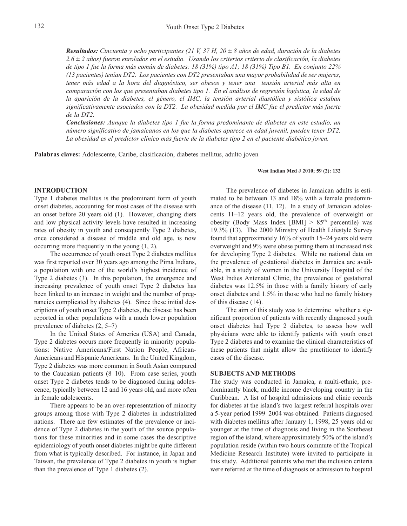**Resultados:** Cincuenta y ocho participantes (21 V, 37 H,  $20 \pm 8$  años de edad, duración de la diabetes *2.6 ± 2 años) fueron enrolados en el estudio. Usando los criterios criterio de clasificación, la diabetes* de tipo 1 fue la forma más común de diabetes: 18 (31%) tipo A1; 18 (31%) Tipo B1. En conjunto 22% *(13 pacientes) tenían DT2. Los pacientes con DT2 presentaban una mayor probabilidad de ser mujeres, tener más edad a la hora del diagnóstico, ser obesos y tener una tensión arterial más alta en comparación con los que presentaban diabetes tipo 1. En el análisis de regresión logística, la edad de la aparición de la diabetes, el género, el IMC, la tensión arterial diastólica y sistólica estaban significativamente asociados con la DT2. La obesidad medida por el IMC fue el predictor más fuerte de la DT2.*

*Conclusiones: Aunque la diabetes tipo 1 fue la forma predominante de diabetes en este estudio, un número significativo de jamaicanos en los que la diabetes aparece en edad juvenil, pueden tener DT2.* La obesidad es el predictor clínico más fuerte de la diabetes tipo 2 en el paciente diabético joven.

**Palabras claves:** Adolescente, Caribe, clasificación, diabetes mellitus, adulto joven

#### **West Indian Med J 2010; 59 (2): 132**

### **INTRODUCTION**

Type 1 diabetes mellitus is the predominant form of youth onset diabetes, accounting for most cases of the disease with an onset before 20 years old (1). However, changing diets and low physical activity levels have resulted in increasing rates of obesity in youth and consequently Type 2 diabetes, once considered a disease of middle and old age, is now occurring more frequently in the young (1, 2).

The occurrence of youth onset Type 2 diabetes mellitus was first reported over 30 years ago among the Pima Indians, a population with one of the world's highest incidence of Type 2 diabetes (3). In this population, the emergence and increasing prevalence of youth onset Type 2 diabetes has been linked to an increase in weight and the number of pregnancies complicated by diabetes (4). Since these initial descriptions of youth onset Type 2 diabetes, the disease has been reported in other populations with a much lower population prevalence of diabetes (2, 5–7)

In the United States of America (USA) and Canada, Type 2 diabetes occurs more frequently in minority populations: Native Americans/First Nation People, African-Americans and Hispanic Americans. In the United Kingdom, Type 2 diabetes was more common in South Asian compared to the Caucasian patients (8–10). From case series, youth onset Type 2 diabetes tends to be diagnosed during adolescence, typically between 12 and 16 years old, and more often in female adolescents.

There appears to be an over-representation of minority groups among those with Type 2 diabetes in industrialized nations. There are few estimates of the prevalence or incidence of Type 2 diabetes in the youth of the source populations for these minorities and in some cases the descriptive epidemiology of youth onset diabetes might be quite different from what is typically described. For instance, in Japan and Taiwan, the prevalence of Type 2 diabetes in youth is higher than the prevalence of Type 1 diabetes (2).

The prevalence of diabetes in Jamaican adults is estimated to be between 13 and 18% with a female predominance of the disease (11, 12). In a study of Jamaican adolescents 11–12 years old, the prevalence of overweight or obesity (Body Mass Index [BMI] > 85<sup>th</sup> percentile) was 19.3% (13). The 2000 Ministry of Health Lifestyle Survey found that approximately 16% of youth 15–24 years old were overweight and 9% were obese putting them at increased risk for developing Type 2 diabetes. While no national data on the prevalence of gestational diabetes in Jamaica are available, in a study of women in the University Hospital of the West Indies Antenatal Clinic, the prevalence of gestational diabetes was 12.5% in those with a family history of early onset diabetes and 1.5% in those who had no family history of this disease (14).

The aim of this study was to determine whether a significant proportion of patients with recently diagnosed youth onset diabetes had Type 2 diabetes, to assess how well physicians were able to identify patients with youth onset Type 2 diabetes and to examine the clinical characteristics of these patients that might allow the practitioner to identify cases of the disease.

## **SUBJECTS AND METHODS**

The study was conducted in Jamaica, a multi-ethnic, predominantly black, middle income developing country in the Caribbean. A list of hospital admissions and clinic records for diabetes at the island's two largest referral hospitals over a 5-year period 1999–2004 was obtained. Patients diagnosed with diabetes mellitus after January 1, 1998, 25 years old or younger at the time of diagnosis and living in the Southeast region of the island, where approximately 50% of the island's population reside (within two hours commute of the Tropical Medicine Research Institute) were invited to participate in this study. Additional patients who met the inclusion criteria were referred at the time of diagnosis or admission to hospital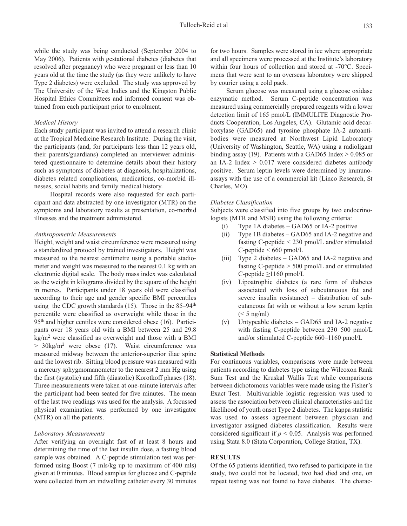while the study was being conducted (September 2004 to May 2006). Patients with gestational diabetes (diabetes that resolved after pregnancy) who were pregnant or less than 10 years old at the time the study (as they were unlikely to have Type 2 diabetes) were excluded. The study was approved by The University of the West Indies and the Kingston Public Hospital Ethics Committees and informed consent was obtained from each participant prior to enrolment.

## *Medical History*

Each study participant was invited to attend a research clinic at the Tropical Medicine Research Institute. During the visit, the participants (and, for participants less than 12 years old, their parents/guardians) completed an interviewer administered questionnaire to determine details about their history such as symptoms of diabetes at diagnosis, hospitalizations, diabetes related complications, medications, co-morbid illnesses, social habits and family medical history.

Hospital records were also requested for each participant and data abstracted by one investigator (MTR) on the symptoms and laboratory results at presentation, co-morbid illnesses and the treatment administered.

#### *Anthropometric Measurements*

Height, weight and waist circumference were measured using a standardized protocol by trained investigators. Height was measured to the nearest centimetre using a portable stadiometer and weight was measured to the nearest 0.1 kg with an electronic digital scale. The body mass index was calculated as the weight in kilograms divided by the square of the height in metres. Participants under 18 years old were classified according to their age and gender specific BMI percentiles using the CDC growth standards  $(15)$ . Those in the 85–94<sup>th</sup> percentile were classified as overweight while those in the 95th and higher centiles were considered obese (16). Participants over 18 years old with a BMI between 25 and 29.8  $kg/m<sup>2</sup>$  were classified as overweight and those with a BMI  $> 30\text{kg/m}^2$  were obese (17). Waist circumference was measured midway between the anterior-superior iliac spine and the lowest rib. Sitting blood pressure was measured with a mercury sphygmomanometer to the nearest 2 mm Hg using the first (systolic) and fifth (diastolic) Korotkoff phases (18). Three measurements were taken at one-minute intervals after the participant had been seated for five minutes. The mean of the last two readings was used for the analysis. A focussed physical examination was performed by one investigator (MTR) on all the patients.

## *Laboratory Measurements*

After verifying an overnight fast of at least 8 hours and determining the time of the last insulin dose, a fasting blood sample was obtained. A C-peptide stimulation test was performed using Boost (7 mls/kg up to maximum of 400 mls) given at 0 minutes. Blood samples for glucose and C-peptide were collected from an indwelling catheter every 30 minutes for two hours. Samples were stored in ice where appropriate and all specimens were processed at the Institute's laboratory within four hours of collection and stored at -70°C. Specimens that were sent to an overseas laboratory were shipped by courier using a cold pack.

Serum glucose was measured using a glucose oxidase enzymatic method. Serum C-peptide concentration was measured using commercially prepared reagents with a lower detection limit of 165 pmol/L (IMMULITE Diagnostic Products Cooperation, Los Angeles, CA). Glutamic acid decarboxylase (GAD65) and tyrosine phosphate IA-2 autoantibodies were measured at Northwest Lipid Laboratory (University of Washington, Seattle, WA) using a radioligant binding assay (19). Patients with a GAD65 Index  $> 0.085$  or an IA-2 Index  $> 0.017$  were considered diabetes antibody positive. Serum leptin levels were determined by immunoassays with the use of a commercial kit (Linco Research, St Charles, MO).

#### *Diabetes Classification*

Subjects were classified into five groups by two endocrinologists (MTR and MSB) using the following criteria:

- (i) Type 1A diabetes GAD65 or IA-2 positive
- (ii) Type 1B diabetes GAD65 and IA-2 negative and fasting C-peptide < 230 pmol/L and/or stimulated  $C$ -peptide  $\leq 660$  pmol/L
- (iii) Type 2 diabetes GAD65 and IA-2 negative and fasting C-peptide > 500 pmol/L and or stimulated C-peptide ≥1160 pmol/L
- (iv) Lipoatrophic diabetes (a rare form of diabetes associated with loss of subcutaneous fat and severe insulin resistance) – distribution of subcutaneous fat with or without a low serum leptin  $(< 5$  ng/ml)
- (v) Untypeable diabetes GAD65 and IA-2 negative with fasting C-peptide between 230–500 pmol/L and/or stimulated C-peptide 660–1160 pmol/L

## **Statistical Methods**

For continuous variables, comparisons were made between patients according to diabetes type using the Wilcoxon Rank Sum Test and the Kruskal Wallis Test while comparisons between dichotomous variables were made using the Fisher's Exact Test. Multivariable logistic regression was used to assess the association between clinical characteristics and the likelihood of youth onset Type 2 diabetes. The kappa statistic was used to assess agreement between physician and investigator assigned diabetes classification. Results were considered significant if  $p < 0.05$ . Analysis was performed using Stata 8.0 (Stata Corporation, College Station, TX).

## **RESULTS**

Of the 65 patients identified, two refused to participate in the study, two could not be located, two had died and one, on repeat testing was not found to have diabetes. The charac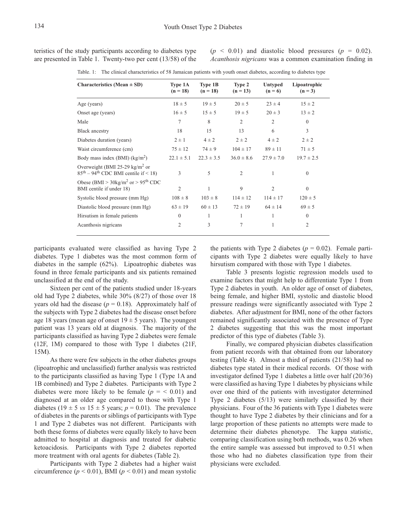teristics of the study participants according to diabetes type are presented in Table 1. Twenty-two per cent (13/58) of the  $(p \leq 0.01)$  and diastolic blood pressures  $(p = 0.02)$ . *Acanthosis nigricans* was a common examination finding in

| <b>Characteristics</b> (Mean $\pm$ SD)                                                | Type 1A        | Type 1B        | Type 2         |                      | Lipoatrophic   |
|---------------------------------------------------------------------------------------|----------------|----------------|----------------|----------------------|----------------|
|                                                                                       | $(n = 18)$     | $(n = 18)$     | $(n = 13)$     | Untyped<br>$(n = 6)$ | $(n = 3)$      |
| Age (years)                                                                           | $18 \pm 5$     | $19 \pm 5$     | $20 \pm 5$     | $23 \pm 4$           | $15 \pm 2$     |
| Onset age (years)                                                                     | $16 \pm 5$     | $15 \pm 5$     | $19 \pm 5$     | $20 \pm 3$           | $13 \pm 2$     |
| Male                                                                                  | 7              | 8              | $\overline{2}$ | $\overline{2}$       | $\theta$       |
| <b>Black ancestry</b>                                                                 | 18             | 15             | 13             | 6                    | 3              |
| Diabetes duration (years)                                                             | $2 \pm 1$      | $4 \pm 2$      | $2 \pm 2$      | $4 \pm 2$            | $2 \pm 2$      |
| Waist circumference (cm)                                                              | $75 \pm 12$    | $74 \pm 9$     | $104 \pm 17$   | $89 \pm 11$          | $71 \pm 5$     |
| Body mass index (BMI) $(kg/m2)$                                                       | $22.1 \pm 5.1$ | $22.3 \pm 3.5$ | $36.0 \pm 8.6$ | $27.9 \pm 7.0$       | $19.7 \pm 2.5$ |
| Overweight (BMI 25-29 kg/m <sup>2</sup> or<br>$85th - 94th$ CDC BMI centile if < 18)  | 3              | 5              | $\overline{2}$ | $\mathbf{1}$         | $\mathbf{0}$   |
| Obese (BMI > $30 \text{kg/m}^2$ or > $95^{\text{th}}$ CDC<br>BMI centile if under 18) | $\mathfrak{2}$ | 1              | 9              | $\overline{2}$       | $\mathbf{0}$   |
| Systolic blood pressure (mm Hg)                                                       | $108 \pm 8$    | $103 \pm 8$    | $114 \pm 12$   | $114 \pm 17$         | $120 \pm 5$    |
| Diastolic blood pressure (mm Hg)                                                      | $63 \pm 19$    | $60 \pm 13$    | $72 \pm 19$    | $64 \pm 14$          | $69 \pm 5$     |
| Hirsutism in female patients                                                          | $\mathbf{0}$   | 1              | 1              | 1                    | $\theta$       |
| Acanthosis nigricans                                                                  | 2              | 3              | 7              | 1                    | $\overline{2}$ |

Table. 1: The clinical characteristics of 58 Jamaican patients with youth onset diabetes, according to diabetes type

participants evaluated were classified as having Type 2 diabetes. Type 1 diabetes was the most common form of diabetes in the sample (62%). Lipoatrophic diabetes was found in three female participants and six patients remained unclassified at the end of the study.

Sixteen per cent of the patients studied under 18-years old had Type 2 diabetes, while 30% (8/27) of those over 18 years old had the disease  $(p = 0.18)$ . Approximately half of the subjects with Type 2 diabetes had the disease onset before age 18 years (mean age of onset  $19 \pm 5$  years). The youngest patient was 13 years old at diagnosis. The majority of the participants classified as having Type 2 diabetes were female (12F, 1M) compared to those with Type 1 diabetes (21F, 15M).

As there were few subjects in the other diabetes groups (lipoatrophic and unclassified) further analysis was restricted to the participants classified as having Type 1 (Type 1A and 1B combined) and Type 2 diabetes. Participants with Type 2 diabetes were more likely to be female  $(p = 0.01)$  and diagnosed at an older age compared to those with Type 1 diabetes (19  $\pm$  5 *vs* 15  $\pm$  5 years; *p* = 0.01). The prevalence of diabetes in the parents or siblings of participants with Type 1 and Type 2 diabetes was not different. Participants with both these forms of diabetes were equally likely to have been admitted to hospital at diagnosis and treated for diabetic ketoacidosis. Participants with Type 2 diabetes reported more treatment with oral agents for diabetes (Table 2).

Participants with Type 2 diabetes had a higher waist circumference  $(p < 0.01)$ , BMI  $(p < 0.01)$  and mean systolic

the patients with Type 2 diabetes  $(p = 0.02)$ . Female participants with Type 2 diabetes were equally likely to have hirsutism compared with those with Type 1 diabetes.

Table 3 presents logistic regression models used to examine factors that might help to differentiate Type 1 from Type 2 diabetes in youth. An older age of onset of diabetes, being female, and higher BMI, systolic and diastolic blood pressure readings were significantly associated with Type 2 diabetes. After adjustment for BMI, none of the other factors remained significantly associated with the presence of Type 2 diabetes suggesting that this was the most important predictor of this type of diabetes (Table 3).

Finally, we compared physician diabetes classification from patient records with that obtained from our laboratory testing (Table 4). Almost a third of patients (21/58) had no diabetes type stated in their medical records. Of those with investigator defined Type 1 diabetes a little over half (20/36) were classified as having Type 1 diabetes by physicians while over one third of the patients with investigator determined Type 2 diabetes (5/13) were similarly classified by their physicians. Four of the 36 patients with Type 1 diabetes were thought to have Type 2 diabetes by their clinicians and for a large proportion of these patients no attempts were made to determine their diabetes phenotype. The kappa statistic, comparing classification using both methods, was 0.26 when the entire sample was assessed but improved to 0.51 when those who had no diabetes classification type from their physicians were excluded.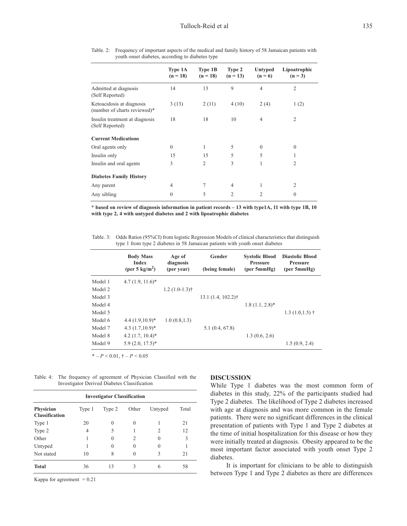|                                                           | Type 1A<br>$(n = 18)$ | Type 1B<br>$(n = 18)$ | Type 2<br>$(n = 13)$ | Untyped<br>$(n = 6)$ | Lipoatrophic<br>$(n = 3)$ |
|-----------------------------------------------------------|-----------------------|-----------------------|----------------------|----------------------|---------------------------|
| Admitted at diagnosis<br>(Self Reported)                  | 14                    | 13                    | 9                    | $\overline{4}$       | $\overline{2}$            |
| Ketoacidosis at diagnosis<br>(number of charts reviewed)* | 3(13)                 | 2(11)                 | 4(10)                | 2(4)                 | 1(2)                      |
| Insulin treatment at diagnosis<br>(Self Reported)         | 18                    | 18                    | 10                   | $\overline{4}$       | 2                         |
| <b>Current Medications</b>                                |                       |                       |                      |                      |                           |
| Oral agents only                                          | $\theta$              | 1                     | 5                    | $\mathbf{0}$         | $\theta$                  |
| Insulin only                                              | 15                    | 15                    | 5                    | 5                    |                           |
| Insulin and oral agents                                   | 3                     | $\overline{2}$        | 3                    | 1                    | 2                         |
| <b>Diabetes Family History</b>                            |                       |                       |                      |                      |                           |
| Any parent                                                | 4                     | 7                     | $\overline{4}$       | 1                    | 2                         |
| Any sibling                                               | $\theta$              | 5                     | $\overline{2}$       | $\overline{c}$       | $\theta$                  |

Table. 2: Frequency of important aspects of the medical and family history of 58 Jamaican patients with youth onset diabetes, according to diabetes type

\* based on review of diagnosis information in patient records - 13 with type1A, 11 with type 1B, 10 **with type 2, 4 with untyped diabetes and 2 with lipoatrophic diabetes**

Table. 3: Odds Ratios (95%CI) from logistic Regression Models of clinical characteristics that distinguish type 1 from type 2 diabetes in 58 Jamaican patients with youth onset diabetes

|         | <b>Body Mass</b><br>Index<br>(per 5 $\text{kg/m}^2$ ) | Age of<br>diagnosis<br>(per year) | Gender<br>(being female) | <b>Systolic Blood</b><br><b>Pressure</b><br>(per 5mmHg) | <b>Diastolic Blood</b><br><b>Pressure</b><br>(per 5mmHg) |
|---------|-------------------------------------------------------|-----------------------------------|--------------------------|---------------------------------------------------------|----------------------------------------------------------|
| Model 1 | $4.7(1.9, 11.6)^*$                                    |                                   |                          |                                                         |                                                          |
| Model 2 |                                                       | $1.2(1.0-1.3)$ †                  |                          |                                                         |                                                          |
| Model 3 |                                                       |                                   | $13.1(1.4, 102.2)$ †     |                                                         |                                                          |
| Model 4 |                                                       |                                   |                          | $1.8(1.1, 2.8)^*$                                       |                                                          |
| Model 5 |                                                       |                                   |                          |                                                         | $1.3(1.0, 1.5)$ †                                        |
| Model 6 | $4.4(1.9,10.9)^*$                                     | 1.0(0.8, 1.3)                     |                          |                                                         |                                                          |
| Model 7 | $4.3(1.7,10.9)$ <sup>*</sup>                          |                                   | 5.1(0.4, 67.8)           |                                                         |                                                          |
| Model 8 | $4.2$ (1.7, 10.4)*                                    |                                   |                          | 1.3(0.6, 2.6)                                           |                                                          |
| Model 9 | $5.9(2.0, 17.5)^*$                                    |                                   |                          |                                                         | 1.5(0.9, 2.4)                                            |

\* – *P* < 0.01, † – *P* < 0.05

Table. 4: The frequency of agreement of Physician Classified with the Investigator Derived Diabetes Classification

| <b>Investigator Classification</b> |        |        |       |          |       |
|------------------------------------|--------|--------|-------|----------|-------|
| Physician<br><b>Classification</b> | Type 1 | Type 2 | Other | Untyped  | Total |
| Type 1                             | 20     | 0      | 0     |          | 21    |
| Type 2                             | 4      | 5      |       | 2        | 12    |
| Other                              |        | 0      | 2     | $\theta$ | 3     |
| Untyped                            |        | 0      | 0     | $\theta$ |       |
| Not stated                         | 10     | 8      | 0     | 3        | 21    |
| <b>Total</b>                       | 36     | 13     | 3     | 6        | 58    |

Kappa for agreement  $= 0.21$ 

## **DISCUSSION**

While Type 1 diabetes was the most common form of diabetes in this study, 22% of the participants studied had Type 2 diabetes. The likelihood of Type 2 diabetes increased with age at diagnosis and was more common in the female patients. There were no significant differences in the clinical presentation of patients with Type 1 and Type 2 diabetes at the time of initial hospitalization for this disease or how they were initially treated at diagnosis. Obesity appeared to be the most important factor associated with youth onset Type 2 diabetes.

It is important for clinicians to be able to distinguish between Type 1 and Type 2 diabetes as there are differences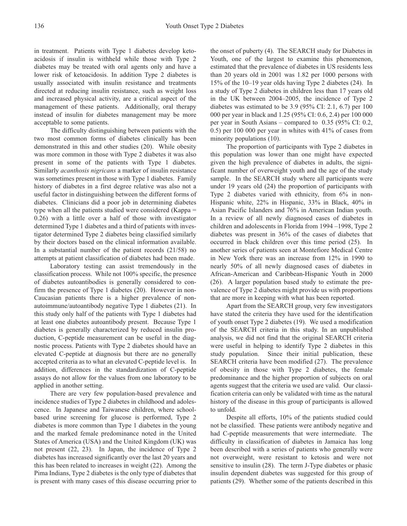in treatment. Patients with Type 1 diabetes develop ketoacidosis if insulin is withheld while those with Type 2 diabetes may be treated with oral agents only and have a lower risk of ketoacidosis. In addition Type 2 diabetes is usually associated with insulin resistance and treatments directed at reducing insulin resistance, such as weight loss and increased physical activity, are a critical aspect of the management of these patients. Additionally, oral therapy instead of insulin for diabetes management may be more acceptable to some patients.

The difficulty distinguishing between patients with the two most common forms of diabetes clinically has been demonstrated in this and other studies (20). While obesity was more common in those with Type 2 diabetes it was also present in some of the patients with Type 1 diabetes. Similarly *acanthosis nigricans* a marker of insulin resistance was sometimes present in those with Type 1 diabetes. Family history of diabetes in a first degree relative was also not a useful factor in distinguishing between the different forms of diabetes. Clinicians did a poor job in determining diabetes type when all the patients studied were considered (Kappa = 0.26) with a little over a half of those with investigator determined Type 1 diabetes and a third of patients with investigator determined Type 2 diabetes being classified similarly by their doctors based on the clinical information available. In a substantial number of the patient records (21/58) no attempts at patient classification of diabetes had been made.

Laboratory testing can assist tremendously in the classification process. While not 100% specific, the presence of diabetes autoantibodies is generally considered to confirm the presence of Type 1 diabetes (20). However in non-Caucasian patients there is a higher prevalence of nonautoimmune/autoantibody negative Type 1 diabetes (21). In this study only half of the patients with Type 1 diabetes had at least one diabetes autoantibody present. Because Type 1 diabetes is generally characterized by reduced insulin production, C-peptide measurement can be useful in the diagnostic process. Patients with Type 2 diabetes should have an elevated C-peptide at diagnosis but there are no generally accepted criteria as to what an elevated C-peptide level is. In addition, differences in the standardization of C-peptide assays do not allow for the values from one laboratory to be applied in another setting.

There are very few population-based prevalence and incidence studies of Type 2 diabetes in childhood and adolescence. In Japanese and Taiwanese children, where schoolbased urine screening for glucose is performed, Type 2 diabetes is more common than Type 1 diabetes in the young and the marked female predominance noted in the United States of America (USA) and the United Kingdom (UK) was not present (22, 23). In Japan, the incidence of Type 2 diabetes has increased significantly over the last 20 years and this has been related to increases in weight (22). Among the Pima Indians, Type 2 diabetes is the only type of diabetes that is present with many cases of this disease occurring prior to the onset of puberty (4). The SEARCH study for Diabetes in Youth, one of the largest to examine this phenomenon, estimated that the prevalence of diabetes in US residents less than 20 years old in 2001 was 1.82 per 1000 persons with 15% of the 10–19 year olds having Type 2 diabetes (24). In a study of Type 2 diabetes in children less than 17 years old in the UK between 2004–2005, the incidence of Type 2 diabetes was estimated to be 3.9 (95% CI: 2.1, 6.7) per 100 000 per year in black and 1.25 (95% CI: 0.6, 2.4) per 100 000 per year in South Asians – compared to 0.35 (95% CI: 0.2, 0.5) per 100 000 per year in whites with 41% of cases from minority populations (10).

The proportion of participants with Type 2 diabetes in this population was lower than one might have expected given the high prevalence of diabetes in adults, the significant number of overweight youth and the age of the study sample. In the SEARCH study where all participants were under 19 years old (24) the proportion of participants with Type 2 diabetes varied with ethnicity, from 6% in non-Hispanic white, 22% in Hispanic, 33% in Black, 40% in Asian Pacific Islanders and 76% in American Indian youth. In a review of all newly diagnosed cases of diabetes in children and adolescents in Florida from 1994 –1998, Type 2 diabetes was present in 36% of the cases of diabetes that occurred in black children over this time period (25). In another series of patients seen at Montefiore Medical Centre in New York there was an increase from 12% in 1990 to nearly 50% of all newly diagnosed cases of diabetes in African-American and Caribbean-Hispanic Youth in 2000 (26). A larger population based study to estimate the prevalence of Type 2 diabetes might provide us with proportions that are more in keeping with what has been reported.

Apart from the SEARCH group, very few investigators have stated the criteria they have used for the identification of youth onset Type 2 diabetes (19). We used a modification of the SEARCH criteria in this study. In an unpublished analysis, we did not find that the original SEARCH criteria were useful in helping to identify Type 2 diabetes in this study population. Since their initial publication, these SEARCH criteria have been modified (27). The prevalence of obesity in those with Type 2 diabetes, the female predominance and the higher proportion of subjects on oral agents suggest that the criteria we used are valid. Our classification criteria can only be validated with time as the natural history of the disease in this group of participants is allowed to unfold.

Despite all efforts, 10% of the patients studied could not be classified. These patients were antibody negative and had C-peptide measurements that were intermediate. The difficulty in classification of diabetes in Jamaica has long been described with a series of patients who generally were not overweight, were resistant to ketosis and were not sensitive to insulin (28). The term J-Type diabetes or phasic insulin dependent diabetes was suggested for this group of patients (29). Whether some of the patients described in this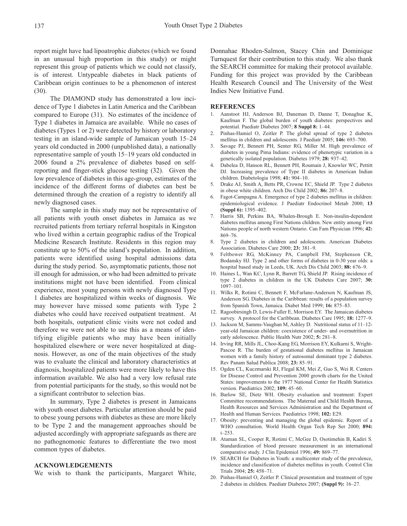report might have had lipoatrophic diabetes (which we found in an unusual high proportion in this study) or might represent this group of patients which we could not classify, is of interest. Untypeable diabetes in black patients of Caribbean origin continues to be a phenomenon of interest (30).

The DIAMOND study has demonstrated a low incidence of Type 1 diabetes in Latin America and the Caribbean compared to Europe (31). No estimates of the incidence of Type 1 diabetes in Jamaica are available. While no cases of diabetes (Types 1 or 2) were detected by history or laboratory testing in an island-wide sample of Jamaican youth 15–24 years old conducted in 2000 (unpublished data), a nationally representative sample of youth 15–19 years old conducted in 2006 found a 2% prevalence of diabetes based on selfreporting and finger-stick glucose testing (32). Given the low prevalence of diabetes in this age-group, estimates of the incidence of the different forms of diabetes can best be determined through the creation of a registry to identify all newly diagnosed cases.

The sample in this study may not be representative of all patients with youth onset diabetes in Jamaica as we recruited patients from tertiary referral hospitals in Kingston who lived within a certain geographic radius of the Tropical Medicine Research Institute. Residents in this region may constitute up to 50% of the island's population. In addition, patients were identified using hospital admissions data during the study period. So, asymptomatic patients, those not ill enough for admission, or who had been admitted to private institutions might not have been identified. From clinical experience, most young persons with newly diagnosed Type 1 diabetes are hospitalized within weeks of diagnosis. We may however have missed some patients with Type 2 diabetes who could have received outpatient treatment. At both hospitals, outpatient clinic visits were not coded and therefore we were not able to use this as a means of identifying eligible patients who may have been initially hospitalized elsewhere or were never hospitalized at diagnosis. However, as one of the main objectives of the study was to evaluate the clinical and laboratory characteristics at diagnosis, hospitalized patients were more likely to have this information available. We also had a very low refusal rate from potential participants for the study, so this would not be a significant contributor to selection bias.

In summary, Type 2 diabetes is present in Jamaicans with youth onset diabetes. Particular attention should be paid to obese young persons with diabetes as these are more likely to be Type 2 and the management approaches should be adjusted accordingly with appropriate safeguards as there are no pathognomonic features to differentiate the two most common types of diabetes.

## **ACKNOWLEDGEMENTS**

We wish to thank the participants, Margaret White,

Donnahae Rhoden-Salmon, Stacey Chin and Dominique Turnquest for their contribution to this study. We also thank the SEARCH committee for making their protocol available. Funding for this project was provided by the Caribbean Health Research Council and The University of the West Indies New Initiative Fund.

## **REFERENCES**

- 1. Aanstoot HJ, Anderson BJ, Daneman D, Danne T, Donaghue K, Kaufman F. The global burden of youth diabetes: perspectives and potential. Paediatr Diabetes 2007; **8 Suppl 8:** 1–44.
- 2. Pinhas-Hamiel O, Zeitler P. The global spread of type 2 diabetes mellitus in children and adolescents. J Paediatr 2005; **146:** 693–700.
- 3. Savage PJ, Bennett PH, Senter RG, Miller M. High prevalence of diabetes in young Pima Indians: evidence of phenotypic variation in a genetically isolated population. Diabetes 1979; **28:** 937–42.
- 4. Dabelea D, Hanson RL, Bennett PH, Roumain J, Knowler WC, Pettitt DJ. Increasing prevalence of Type II diabetes in American Indian children. Diabetologia 1998; **41:** 904–10.
- 5. Drake AJ, Smith A, Betts PR, Crowne EC, Shield JP. Type 2 diabetes in obese white children. Arch Dis Child 2002; **86:** 207–8.
- 6. Fagot-Campagna A. Emergence of type 2 diabetes mellitus in children: epidemiological evidence. J Paediatr Endocrinol Metab 2000; **13 (Suppl 6):** 1395–402.
- 7. Harris SB, Perkins BA, Whalen-Brough E. Non-insulin-dependent diabetes mellitus among First Nations children. New entity among First Nations people of north western Ontario. Can Fam Physician 1996; **42:** 869–76.
- 8. Type 2 diabetes in children and adolescents. American Diabetes Association. Diabetes Care 2000; **23:** 381–9.
- 9. Feltbower RG, McKinney PA, Campbell FM, Stephenson CR, Bodansky HJ. Type 2 and other forms of diabetes in 0-30 year olds: a hospital based study in Leeds, UK. Arch Dis Child 2003; **88:** 676–9.
- 10. Haines L, Wan KC, Lynn R, Barrett TG, Shield JP. Rising incidence of type 2 diabetes in children in the UK Diabetes Care 2007; **30:** 1097–101.
- 11. Wilks R, Rotimi C, Bennett F, McFarlane-Anderson N, Kaufman JS, Anderson SG. Diabetes in the Caribbean: results of a population survey from Spanish Town, Jamaica. Diabet Med 1999; **16:** 875–83.
- 12. Ragoobirsingh D, Lewis-Fuller E, Morrison EY. The Jamaican diabetes survey. A protocol for the Caribbean. Diabetes Care 1995; **18:** 1277–9.
- 13. Jackson M, Samms-Vaughan M, Ashley D. Nutritional status of 11–12 year-old Jamaican children: coexistence of under- and overnutrition in early adolescence. Public Health Nutr 2002; **5:** 281–8.
- 14. Irving RR, Mills JL, Choo-Kang EG, Morrison EY, Kulkarni S, Wright-Pascoe R. The burden of gestational diabetes mellitus in Jamaican women with a family history of autosomal dominant type 2 diabetes. Rev Panam Salud Publica 2008; **23:** 85–91.
- 15. Ogden CL, Kuczmarski RJ, Flegal KM, Mei Z, Guo S, Wei R. Centers for Disease Control and Prevention 2000 growth charts for the United States: improvements to the 1977 National Center for Health Statistics version. Paediatrics 2002; **109:** 45–60.
- 16. Barlow SE, Dietz WH. Obesity evaluation and treatment: Expert Committee recommendations. The Maternal and Child Health Bureau, Health Resources and Services Administration and the Department of Health and Human Services. Paediatrics 1998; **102:** E29.
- 17. Obesity: preventing and managing the global epidemic. Report of a WHO consultation. World Health Organ Tech Rep Ser 2000; **894:** i–253.
- 18. Ataman SL, Cooper R, Rotimi C, McGee D, Osotimehin B, Kadiri S*.* Standardization of blood pressure measurement in an international comparative study. J Clin Epidemiol 1996; **49:** 869–77.
- 19. SEARCH for Diabetes in Youth: a multicenter study of the prevalence, incidence and classification of diabetes mellitus in youth. Control Clin Trials 2004; **25:** 458–71.
- 20. Pinhas-Hamiel O, Zeitler P. Clinical presentation and treatment of type 2 diabetes in children. Paediatr Diabetes 2007; **(Suppl 9):** 16–27.